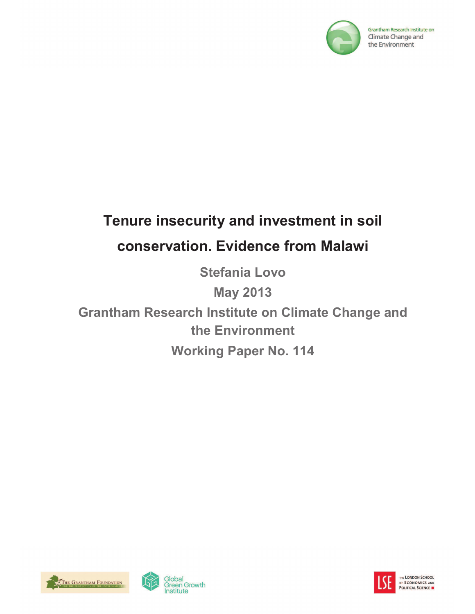

Grantham Research Institute on Climate Change and the Environment

# **Tenure insecurity and investment in soil conservation. Evidence from Malawi**

**Stefania Lovo**

**May 2013**

**Grantham Research Institute on Climate Change and the Environment Working Paper No. 114**





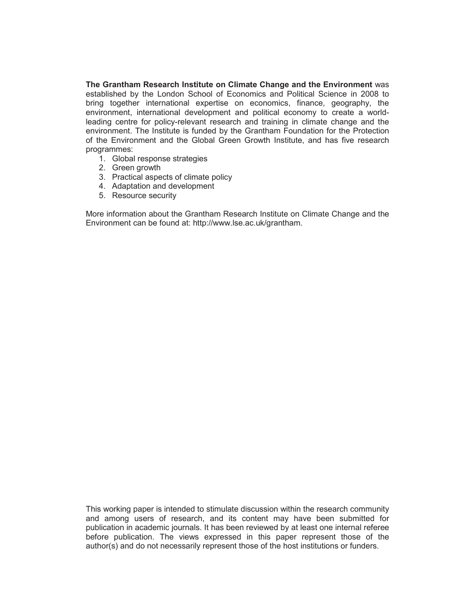**The Grantham Research Institute on Climate Change and the Environment** was established by the London School of Economics and Political Science in 2008 to bring together international expertise on economics, finance, geography, the environment, international development and political economy to create a worldleading centre for policy-relevant research and training in climate change and the environment. The Institute is funded by the Grantham Foundation for the Protection of the Environment and the Global Green Growth Institute, and has five research programmes:

- 1. Global response strategies
- 2. Green growth
- 3. Practical aspects of climate policy
- 4. Adaptation and development
- 5. Resource security

More information about the Grantham Research Institute on Climate Change and the Environment can be found at: http://www.lse.ac.uk/grantham.

This working paper is intended to stimulate discussion within the research community and among users of research, and its content may have been submitted for publication in academic journals. It has been reviewed by at least one internal referee before publication. The views expressed in this paper represent those of the author(s) and do not necessarily represent those of the host institutions or funders.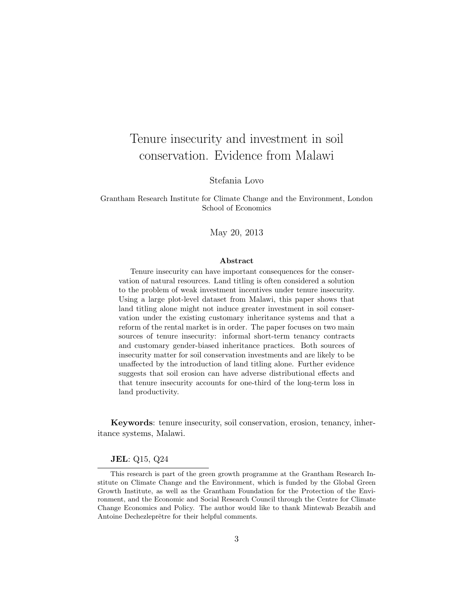## Tenure insecurity and investment in soil conservation. Evidence from Malawi

Stefania Lovo

Grantham Research Institute for Climate Change and the Environment, London School of Economics

May 20, 2013

#### Abstract

Tenure insecurity can have important consequences for the conservation of natural resources. Land titling is often considered a solution to the problem of weak investment incentives under tenure insecurity. Using a large plot-level dataset from Malawi, this paper shows that land titling alone might not induce greater investment in soil conservation under the existing customary inheritance systems and that a reform of the rental market is in order. The paper focuses on two main sources of tenure insecurity: informal short-term tenancy contracts and customary gender-biased inheritance practices. Both sources of insecurity matter for soil conservation investments and are likely to be unaffected by the introduction of land titling alone. Further evidence suggests that soil erosion can have adverse distributional effects and that tenure insecurity accounts for one-third of the long-term loss in land productivity.

Keywords: tenure insecurity, soil conservation, erosion, tenancy, inheritance systems, Malawi.

#### JEL: Q15, Q24

This research is part of the green growth programme at the Grantham Research Institute on Climate Change and the Environment, which is funded by the Global Green Growth Institute, as well as the Grantham Foundation for the Protection of the Environment, and the Economic and Social Research Council through the Centre for Climate Change Economics and Policy. The author would like to thank Mintewab Bezabih and Antoine Dechezleprêtre for their helpful comments.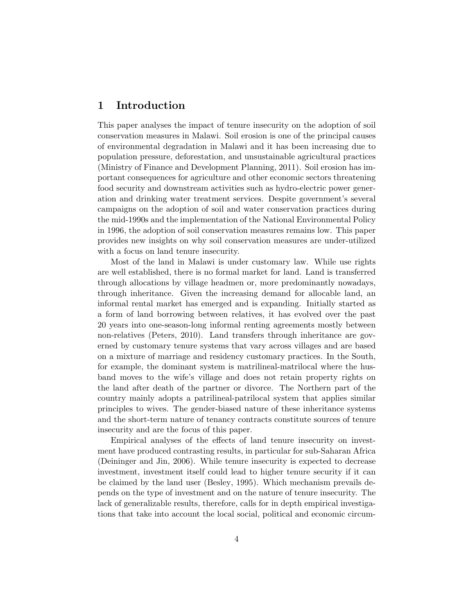## 1 Introduction

This paper analyses the impact of tenure insecurity on the adoption of soil conservation measures in Malawi. Soil erosion is one of the principal causes of environmental degradation in Malawi and it has been increasing due to population pressure, deforestation, and unsustainable agricultural practices (Ministry of Finance and Development Planning, 2011). Soil erosion has important consequences for agriculture and other economic sectors threatening food security and downstream activities such as hydro-electric power generation and drinking water treatment services. Despite government's several campaigns on the adoption of soil and water conservation practices during the mid-1990s and the implementation of the National Environmental Policy in 1996, the adoption of soil conservation measures remains low. This paper provides new insights on why soil conservation measures are under-utilized with a focus on land tenure insecurity.

Most of the land in Malawi is under customary law. While use rights are well established, there is no formal market for land. Land is transferred through allocations by village headmen or, more predominantly nowadays, through inheritance. Given the increasing demand for allocable land, an informal rental market has emerged and is expanding. Initially started as a form of land borrowing between relatives, it has evolved over the past 20 years into one-season-long informal renting agreements mostly between non-relatives (Peters, 2010). Land transfers through inheritance are governed by customary tenure systems that vary across villages and are based on a mixture of marriage and residency customary practices. In the South, for example, the dominant system is matrilineal-matrilocal where the husband moves to the wife's village and does not retain property rights on the land after death of the partner or divorce. The Northern part of the country mainly adopts a patrilineal-patrilocal system that applies similar principles to wives. The gender-biased nature of these inheritance systems and the short-term nature of tenancy contracts constitute sources of tenure insecurity and are the focus of this paper.

Empirical analyses of the effects of land tenure insecurity on investment have produced contrasting results, in particular for sub-Saharan Africa (Deininger and Jin, 2006). While tenure insecurity is expected to decrease investment, investment itself could lead to higher tenure security if it can be claimed by the land user (Besley, 1995). Which mechanism prevails depends on the type of investment and on the nature of tenure insecurity. The lack of generalizable results, therefore, calls for in depth empirical investigations that take into account the local social, political and economic circum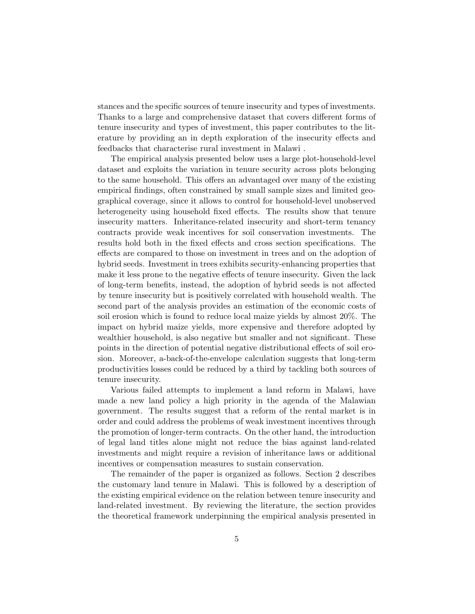stances and the specific sources of tenure insecurity and types of investments. Thanks to a large and comprehensive dataset that covers different forms of tenure insecurity and types of investment, this paper contributes to the literature by providing an in depth exploration of the insecurity effects and feedbacks that characterise rural investment in Malawi .

The empirical analysis presented below uses a large plot-household-level dataset and exploits the variation in tenure security across plots belonging to the same household. This offers an advantaged over many of the existing empirical findings, often constrained by small sample sizes and limited geographical coverage, since it allows to control for household-level unobserved heterogeneity using household fixed effects. The results show that tenure insecurity matters. Inheritance-related insecurity and short-term tenancy contracts provide weak incentives for soil conservation investments. The results hold both in the fixed effects and cross section specifications. The effects are compared to those on investment in trees and on the adoption of hybrid seeds. Investment in trees exhibits security-enhancing properties that make it less prone to the negative effects of tenure insecurity. Given the lack of long-term benefits, instead, the adoption of hybrid seeds is not affected by tenure insecurity but is positively correlated with household wealth. The second part of the analysis provides an estimation of the economic costs of soil erosion which is found to reduce local maize yields by almost 20%. The impact on hybrid maize yields, more expensive and therefore adopted by wealthier household, is also negative but smaller and not significant. These points in the direction of potential negative distributional effects of soil erosion. Moreover, a-back-of-the-envelope calculation suggests that long-term productivities losses could be reduced by a third by tackling both sources of tenure insecurity.

Various failed attempts to implement a land reform in Malawi, have made a new land policy a high priority in the agenda of the Malawian government. The results suggest that a reform of the rental market is in order and could address the problems of weak investment incentives through the promotion of longer-term contracts. On the other hand, the introduction of legal land titles alone might not reduce the bias against land-related investments and might require a revision of inheritance laws or additional incentives or compensation measures to sustain conservation.

The remainder of the paper is organized as follows. Section 2 describes the customary land tenure in Malawi. This is followed by a description of the existing empirical evidence on the relation between tenure insecurity and land-related investment. By reviewing the literature, the section provides the theoretical framework underpinning the empirical analysis presented in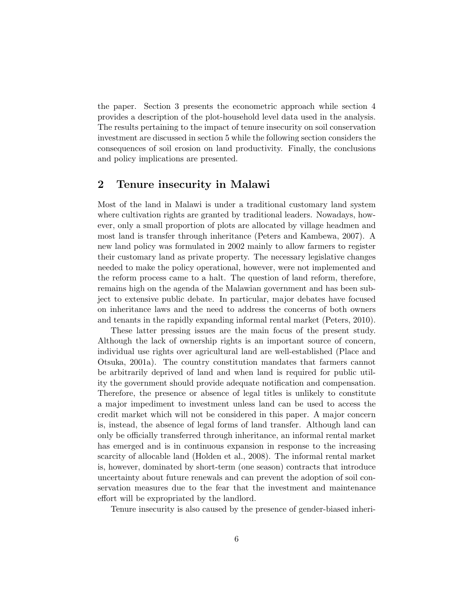the paper. Section 3 presents the econometric approach while section 4 provides a description of the plot-household level data used in the analysis. The results pertaining to the impact of tenure insecurity on soil conservation investment are discussed in section 5 while the following section considers the consequences of soil erosion on land productivity. Finally, the conclusions and policy implications are presented.

## 2 Tenure insecurity in Malawi

Most of the land in Malawi is under a traditional customary land system where cultivation rights are granted by traditional leaders. Nowadays, however, only a small proportion of plots are allocated by village headmen and most land is transfer through inheritance (Peters and Kambewa, 2007). A new land policy was formulated in 2002 mainly to allow farmers to register their customary land as private property. The necessary legislative changes needed to make the policy operational, however, were not implemented and the reform process came to a halt. The question of land reform, therefore, remains high on the agenda of the Malawian government and has been subject to extensive public debate. In particular, major debates have focused on inheritance laws and the need to address the concerns of both owners and tenants in the rapidly expanding informal rental market (Peters, 2010).

These latter pressing issues are the main focus of the present study. Although the lack of ownership rights is an important source of concern, individual use rights over agricultural land are well-established (Place and Otsuka, 2001a). The country constitution mandates that farmers cannot be arbitrarily deprived of land and when land is required for public utility the government should provide adequate notification and compensation. Therefore, the presence or absence of legal titles is unlikely to constitute a major impediment to investment unless land can be used to access the credit market which will not be considered in this paper. A major concern is, instead, the absence of legal forms of land transfer. Although land can only be officially transferred through inheritance, an informal rental market has emerged and is in continuous expansion in response to the increasing scarcity of allocable land (Holden et al., 2008). The informal rental market is, however, dominated by short-term (one season) contracts that introduce uncertainty about future renewals and can prevent the adoption of soil conservation measures due to the fear that the investment and maintenance effort will be expropriated by the landlord.

Tenure insecurity is also caused by the presence of gender-biased inheri-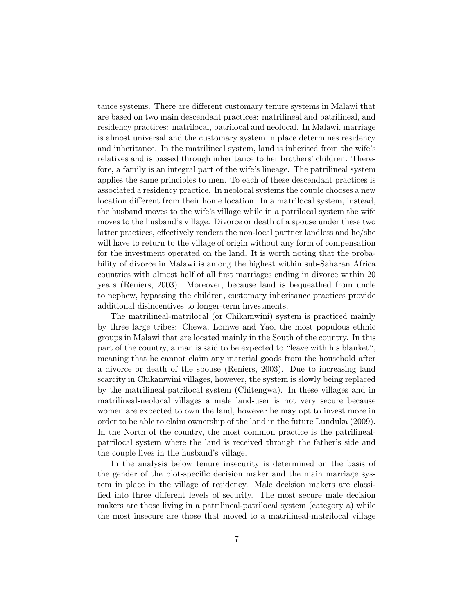tance systems. There are different customary tenure systems in Malawi that are based on two main descendant practices: matrilineal and patrilineal, and residency practices: matrilocal, patrilocal and neolocal. In Malawi, marriage is almost universal and the customary system in place determines residency and inheritance. In the matrilineal system, land is inherited from the wife's relatives and is passed through inheritance to her brothers' children. Therefore, a family is an integral part of the wife's lineage. The patrilineal system applies the same principles to men. To each of these descendant practices is associated a residency practice. In neolocal systems the couple chooses a new location different from their home location. In a matrilocal system, instead, the husband moves to the wife's village while in a patrilocal system the wife moves to the husband's village. Divorce or death of a spouse under these two latter practices, effectively renders the non-local partner landless and he/she will have to return to the village of origin without any form of compensation for the investment operated on the land. It is worth noting that the probability of divorce in Malawi is among the highest within sub-Saharan Africa countries with almost half of all first marriages ending in divorce within 20 years (Reniers, 2003). Moreover, because land is bequeathed from uncle to nephew, bypassing the children, customary inheritance practices provide additional disincentives to longer-term investments.

The matrilineal-matrilocal (or Chikamwini) system is practiced mainly by three large tribes: Chewa, Lomwe and Yao, the most populous ethnic groups in Malawi that are located mainly in the South of the country. In this part of the country, a man is said to be expected to "leave with his blanket", meaning that he cannot claim any material goods from the household after a divorce or death of the spouse (Reniers, 2003). Due to increasing land scarcity in Chikamwini villages, however, the system is slowly being replaced by the matrilineal-patrilocal system (Chitengwa). In these villages and in matrilineal-neolocal villages a male land-user is not very secure because women are expected to own the land, however he may opt to invest more in order to be able to claim ownership of the land in the future Lunduka (2009). In the North of the country, the most common practice is the patrilinealpatrilocal system where the land is received through the father's side and the couple lives in the husband's village.

In the analysis below tenure insecurity is determined on the basis of the gender of the plot-specific decision maker and the main marriage system in place in the village of residency. Male decision makers are classified into three different levels of security. The most secure male decision makers are those living in a patrilineal-patrilocal system (category a) while the most insecure are those that moved to a matrilineal-matrilocal village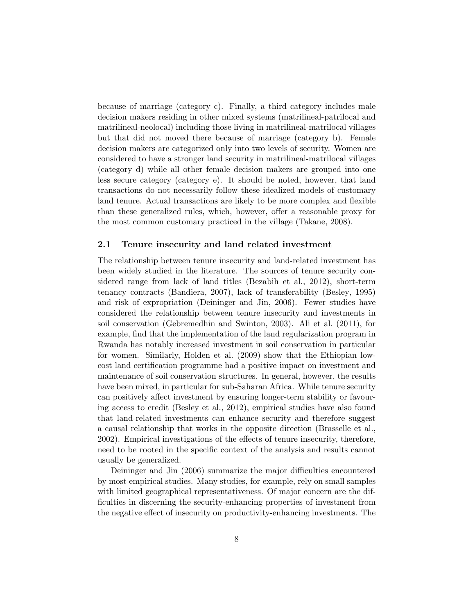because of marriage (category c). Finally, a third category includes male decision makers residing in other mixed systems (matrilineal-patrilocal and matrilineal-neolocal) including those living in matrilineal-matrilocal villages but that did not moved there because of marriage (category b). Female decision makers are categorized only into two levels of security. Women are considered to have a stronger land security in matrilineal-matrilocal villages (category d) while all other female decision makers are grouped into one less secure category (category e). It should be noted, however, that land transactions do not necessarily follow these idealized models of customary land tenure. Actual transactions are likely to be more complex and flexible than these generalized rules, which, however, offer a reasonable proxy for the most common customary practiced in the village (Takane, 2008).

#### 2.1 Tenure insecurity and land related investment

The relationship between tenure insecurity and land-related investment has been widely studied in the literature. The sources of tenure security considered range from lack of land titles (Bezabih et al., 2012), short-term tenancy contracts (Bandiera, 2007), lack of transferability (Besley, 1995) and risk of expropriation (Deininger and Jin, 2006). Fewer studies have considered the relationship between tenure insecurity and investments in soil conservation (Gebremedhin and Swinton, 2003). Ali et al. (2011), for example, find that the implementation of the land regularization program in Rwanda has notably increased investment in soil conservation in particular for women. Similarly, Holden et al. (2009) show that the Ethiopian lowcost land certification programme had a positive impact on investment and maintenance of soil conservation structures. In general, however, the results have been mixed, in particular for sub-Saharan Africa. While tenure security can positively affect investment by ensuring longer-term stability or favouring access to credit (Besley et al., 2012), empirical studies have also found that land-related investments can enhance security and therefore suggest a causal relationship that works in the opposite direction (Brasselle et al., 2002). Empirical investigations of the effects of tenure insecurity, therefore, need to be rooted in the specific context of the analysis and results cannot usually be generalized.

Deininger and Jin (2006) summarize the major difficulties encountered by most empirical studies. Many studies, for example, rely on small samples with limited geographical representativeness. Of major concern are the difficulties in discerning the security-enhancing properties of investment from the negative effect of insecurity on productivity-enhancing investments. The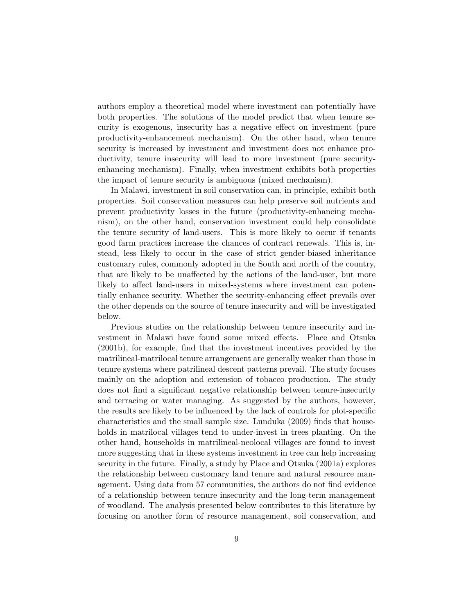authors employ a theoretical model where investment can potentially have both properties. The solutions of the model predict that when tenure security is exogenous, insecurity has a negative effect on investment (pure productivity-enhancement mechanism). On the other hand, when tenure security is increased by investment and investment does not enhance productivity, tenure insecurity will lead to more investment (pure securityenhancing mechanism). Finally, when investment exhibits both properties the impact of tenure security is ambiguous (mixed mechanism).

In Malawi, investment in soil conservation can, in principle, exhibit both properties. Soil conservation measures can help preserve soil nutrients and prevent productivity losses in the future (productivity-enhancing mechanism), on the other hand, conservation investment could help consolidate the tenure security of land-users. This is more likely to occur if tenants good farm practices increase the chances of contract renewals. This is, instead, less likely to occur in the case of strict gender-biased inheritance customary rules, commonly adopted in the South and north of the country, that are likely to be unaffected by the actions of the land-user, but more likely to affect land-users in mixed-systems where investment can potentially enhance security. Whether the security-enhancing effect prevails over the other depends on the source of tenure insecurity and will be investigated below.

Previous studies on the relationship between tenure insecurity and investment in Malawi have found some mixed effects. Place and Otsuka (2001b), for example, find that the investment incentives provided by the matrilineal-matrilocal tenure arrangement are generally weaker than those in tenure systems where patrilineal descent patterns prevail. The study focuses mainly on the adoption and extension of tobacco production. The study does not find a significant negative relationship between tenure-insecurity and terracing or water managing. As suggested by the authors, however, the results are likely to be influenced by the lack of controls for plot-specific characteristics and the small sample size. Lunduka (2009) finds that households in matrilocal villages tend to under-invest in trees planting. On the other hand, households in matrilineal-neolocal villages are found to invest more suggesting that in these systems investment in tree can help increasing security in the future. Finally, a study by Place and Otsuka (2001a) explores the relationship between customary land tenure and natural resource management. Using data from 57 communities, the authors do not find evidence of a relationship between tenure insecurity and the long-term management of woodland. The analysis presented below contributes to this literature by focusing on another form of resource management, soil conservation, and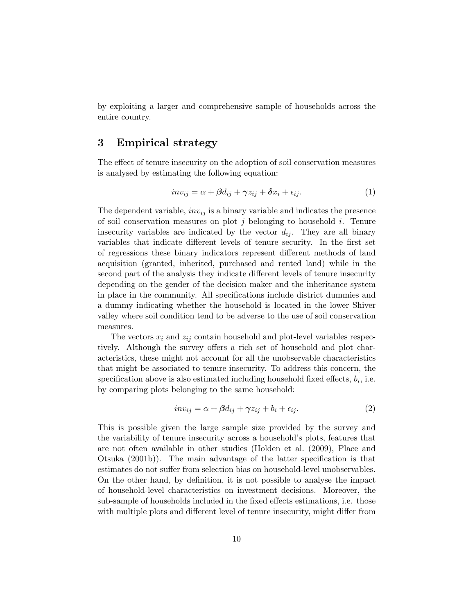by exploiting a larger and comprehensive sample of households across the entire country.

## 3 Empirical strategy

The effect of tenure insecurity on the adoption of soil conservation measures is analysed by estimating the following equation:

$$
inv_{ij} = \alpha + \beta d_{ij} + \gamma z_{ij} + \delta x_i + \epsilon_{ij}.
$$
 (1)

The dependent variable,  $inv_{ij}$  is a binary variable and indicates the presence of soil conservation measures on plot j belonging to household i. Tenure insecurity variables are indicated by the vector  $d_{ij}$ . They are all binary variables that indicate different levels of tenure security. In the first set of regressions these binary indicators represent different methods of land acquisition (granted, inherited, purchased and rented land) while in the second part of the analysis they indicate different levels of tenure insecurity depending on the gender of the decision maker and the inheritance system in place in the community. All specifications include district dummies and a dummy indicating whether the household is located in the lower Shiver valley where soil condition tend to be adverse to the use of soil conservation measures.

The vectors  $x_i$  and  $z_{ij}$  contain household and plot-level variables respectively. Although the survey offers a rich set of household and plot characteristics, these might not account for all the unobservable characteristics that might be associated to tenure insecurity. To address this concern, the specification above is also estimated including household fixed effects,  $b_i$ , i.e. by comparing plots belonging to the same household:

$$
inv_{ij} = \alpha + \beta d_{ij} + \gamma z_{ij} + b_i + \epsilon_{ij}.
$$
 (2)

This is possible given the large sample size provided by the survey and the variability of tenure insecurity across a household's plots, features that are not often available in other studies (Holden et al. (2009), Place and Otsuka (2001b)). The main advantage of the latter specification is that estimates do not suffer from selection bias on household-level unobservables. On the other hand, by definition, it is not possible to analyse the impact of household-level characteristics on investment decisions. Moreover, the sub-sample of households included in the fixed effects estimations, i.e. those with multiple plots and different level of tenure insecurity, might differ from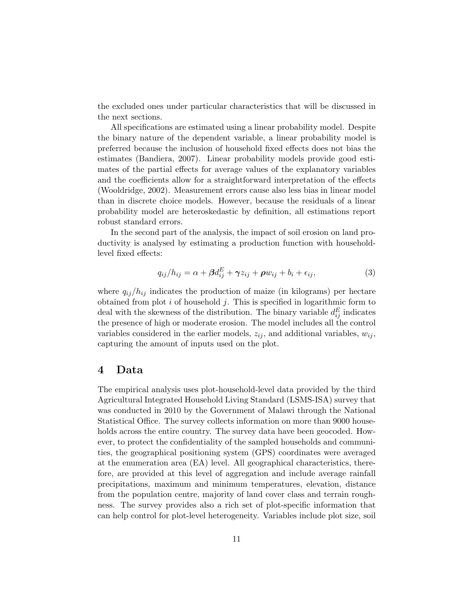the excluded ones under particular characteristics that will be discussed in the next sections.

All specifications are estimated using a linear probability model. Despite the binary nature of the dependent variable, a linear probability model is preferred because the inclusion of household fixed effects does not bias the estimates (Bandiera, 2007). Linear probability models provide good estimates of the partial effects for average values of the explanatory variables and the coefficients allow for a straightforward interpretation of the effects (Wooldridge, 2002). Measurement errors cause also less bias in linear model than in discrete choice models. However, because the residuals of a linear probability model are heteroskedastic by definition, all estimations report robust standard errors.

In the second part of the analysis, the impact of soil erosion on land productivity is analysed by estimating a production function with householdlevel fixed effects:

$$
q_{ij}/h_{ij} = \alpha + \beta d_{ij}^{E} + \gamma z_{ij} + \rho w_{ij} + b_i + \epsilon_{ij},
$$
\n(3)

where  $q_{ij}/h_{ij}$  indicates the production of maize (in kilograms) per hectare obtained from plot  $i$  of household  $j$ . This is specified in logarithmic form to deal with the skewness of the distribution. The binary variable  $d_{ij}^E$  indicates the presence of high or moderate erosion. The model includes all the control variables considered in the earlier models,  $z_{ij}$ , and additional variables,  $w_{ij}$ , capturing the amount of inputs used on the plot.

#### 4 Data

The empirical analysis uses plot-household-level data provided by the third Agricultural Integrated Household Living Standard (LSMS-ISA) survey that was conducted in 2010 by the Government of Malawi through the National Statistical Office. The survey collects information on more than 9000 households across the entire country. The survey data have been geocoded. However, to protect the confidentiality of the sampled households and communities, the geographical positioning system (GPS) coordinates were averaged at the enumeration area (EA) level. All geographical characteristics, therefore, are provided at this level of aggregation and include average rainfall precipitations, maximum and minimum temperatures, elevation, distance from the population centre, majority of land cover class and terrain roughness. The survey provides also a rich set of plot-specific information that can help control for plot-level heterogeneity. Variables include plot size, soil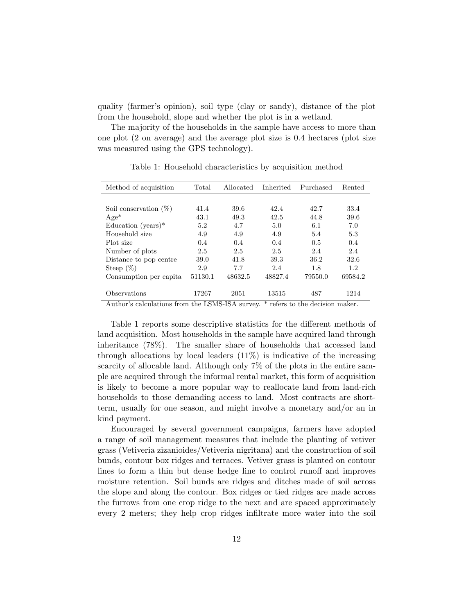quality (farmer's opinion), soil type (clay or sandy), distance of the plot from the household, slope and whether the plot is in a wetland.

The majority of the households in the sample have access to more than one plot (2 on average) and the average plot size is 0.4 hectares (plot size was measured using the GPS technology).

| Method of acquisition                                                                                                                                                                                                                                                                                                                      | Total   | Allocated | Inherited | Purchased | Rented  |  |  |  |  |
|--------------------------------------------------------------------------------------------------------------------------------------------------------------------------------------------------------------------------------------------------------------------------------------------------------------------------------------------|---------|-----------|-----------|-----------|---------|--|--|--|--|
|                                                                                                                                                                                                                                                                                                                                            |         |           |           |           |         |  |  |  |  |
| Soil conservation $(\%)$                                                                                                                                                                                                                                                                                                                   | 41.4    | 39.6      | 42.4      | 42.7      | 33.4    |  |  |  |  |
| $Age*$                                                                                                                                                                                                                                                                                                                                     | 43.1    | 49.3      | 42.5      | 44.8      | 39.6    |  |  |  |  |
| Education (years) $*$                                                                                                                                                                                                                                                                                                                      | 5.2     | 4.7       | 5.0       | 6.1       | 7.0     |  |  |  |  |
| Household size                                                                                                                                                                                                                                                                                                                             | 4.9     | 4.9       | 4.9       | 5.4       | 5.3     |  |  |  |  |
| Plot size                                                                                                                                                                                                                                                                                                                                  | 0.4     | 0.4       | 0.4       | 0.5       | 0.4     |  |  |  |  |
| Number of plots                                                                                                                                                                                                                                                                                                                            | 2.5     | 2.5       | 2.5       | 2.4       | 2.4     |  |  |  |  |
| Distance to pop centre                                                                                                                                                                                                                                                                                                                     | 39.0    | 41.8      | 39.3      | 36.2      | 32.6    |  |  |  |  |
| Steep $(\%)$                                                                                                                                                                                                                                                                                                                               | 2.9     | 7.7       | 2.4       | 1.8       | 1.2     |  |  |  |  |
| Consumption per capita                                                                                                                                                                                                                                                                                                                     | 51130.1 | 48632.5   | 48827.4   | 79550.0   | 69584.2 |  |  |  |  |
|                                                                                                                                                                                                                                                                                                                                            |         |           |           |           |         |  |  |  |  |
| Observations                                                                                                                                                                                                                                                                                                                               | 17267   | 2051      | 13515     | 487       | 1214    |  |  |  |  |
| $\Lambda$ and $\Lambda$ and $\Lambda$ and $\Lambda$ is the sum of $\Lambda$ is the summer of $\Lambda$ and $\Lambda$ and $\Lambda$ and $\Lambda$ are $\Lambda$ and $\Lambda$ are $\Lambda$ and $\Lambda$ are $\Lambda$ and $\Lambda$ are $\Lambda$ and $\Lambda$ are $\Lambda$ and $\Lambda$ are $\Lambda$ and $\Lambda$ are $\Lambda$ and |         |           |           |           |         |  |  |  |  |

Table 1: Household characteristics by acquisition method

Author's calculations from the LSMS-ISA survey. \* refers to the decision maker.

Table 1 reports some descriptive statistics for the different methods of land acquisition. Most households in the sample have acquired land through inheritance (78%). The smaller share of households that accessed land through allocations by local leaders  $(11\%)$  is indicative of the increasing scarcity of allocable land. Although only 7% of the plots in the entire sample are acquired through the informal rental market, this form of acquisition is likely to become a more popular way to reallocate land from land-rich households to those demanding access to land. Most contracts are shortterm, usually for one season, and might involve a monetary and/or an in kind payment.

Encouraged by several government campaigns, farmers have adopted a range of soil management measures that include the planting of vetiver grass (Vetiveria zizanioides/Vetiveria nigritana) and the construction of soil bunds, contour box ridges and terraces. Vetiver grass is planted on contour lines to form a thin but dense hedge line to control runoff and improves moisture retention. Soil bunds are ridges and ditches made of soil across the slope and along the contour. Box ridges or tied ridges are made across the furrows from one crop ridge to the next and are spaced approximately every 2 meters; they help crop ridges infiltrate more water into the soil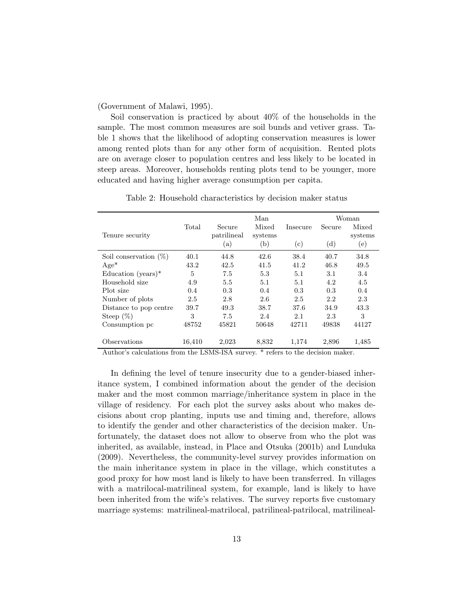(Government of Malawi, 1995).

Soil conservation is practiced by about 40% of the households in the sample. The most common measures are soil bunds and vetiver grass. Table 1 shows that the likelihood of adopting conservation measures is lower among rented plots than for any other form of acquisition. Rented plots are on average closer to population centres and less likely to be located in steep areas. Moreover, households renting plots tend to be younger, more educated and having higher average consumption per capita.

|                                                                                                                                                                                                                                                                                                                  |        |             | Man     |          |        | Woman   |
|------------------------------------------------------------------------------------------------------------------------------------------------------------------------------------------------------------------------------------------------------------------------------------------------------------------|--------|-------------|---------|----------|--------|---------|
|                                                                                                                                                                                                                                                                                                                  | Total  | Secure      | Mixed   | Insecure | Secure | Mixed   |
| Tenure security                                                                                                                                                                                                                                                                                                  |        | patrilineal | systems |          |        | systems |
|                                                                                                                                                                                                                                                                                                                  |        | $\rm (a)$   | (b)     | (c)      | (d)    | (e)     |
| Soil conservation $(\%)$                                                                                                                                                                                                                                                                                         | 40.1   | 44.8        | 42.6    | 38.4     | 40.7   | 34.8    |
| $Age*$                                                                                                                                                                                                                                                                                                           | 43.2   | 42.5        | 41.5    | 41.2     | 46.8   | 49.5    |
| Education (years) $*$                                                                                                                                                                                                                                                                                            | 5      | 7.5         | 5.3     | 5.1      | 3.1    | 3.4     |
| Household size                                                                                                                                                                                                                                                                                                   | 4.9    | 5.5         | 5.1     | 5.1      | 4.2    | 4.5     |
| Plot size                                                                                                                                                                                                                                                                                                        | 0.4    | 0.3         | 0.4     | 0.3      | 0.3    | 0.4     |
| Number of plots                                                                                                                                                                                                                                                                                                  | 2.5    | 2.8         | 2.6     | 2.5      | 2.2    | 2.3     |
| Distance to pop centre                                                                                                                                                                                                                                                                                           | 39.7   | 49.3        | 38.7    | 37.6     | 34.9   | 43.3    |
| Steep $(\%)$                                                                                                                                                                                                                                                                                                     | 3      | 7.5         | 2.4     | 2.1      | 2.3    | 3       |
| Consumption pc                                                                                                                                                                                                                                                                                                   | 48752  | 45821       | 50648   | 42711    | 49838  | 44127   |
|                                                                                                                                                                                                                                                                                                                  |        |             |         |          |        |         |
| Observations<br>$\mathbf{A}$ and $\mathbf{A}$ and $\mathbf{A}$ and $\mathbf{A}$ and $\mathbf{A}$ and $\mathbf{A}$ and $\mathbf{A}$ and $\mathbf{A}$ and $\mathbf{A}$ and $\mathbf{A}$ and $\mathbf{A}$ and $\mathbf{A}$ and $\mathbf{A}$ and $\mathbf{A}$ and $\mathbf{A}$ and $\mathbf{A}$ and $\mathbf{A}$ and | 16,410 | 2,023       | 8,832   | 1,174    | 2,896  | 1,485   |

Table 2: Household characteristics by decision maker status

Author's calculations from the LSMS-ISA survey. \* refers to the decision maker.

In defining the level of tenure insecurity due to a gender-biased inheritance system, I combined information about the gender of the decision maker and the most common marriage/inheritance system in place in the village of residency. For each plot the survey asks about who makes decisions about crop planting, inputs use and timing and, therefore, allows to identify the gender and other characteristics of the decision maker. Unfortunately, the dataset does not allow to observe from who the plot was inherited, as available, instead, in Place and Otsuka (2001b) and Lunduka (2009). Nevertheless, the community-level survey provides information on the main inheritance system in place in the village, which constitutes a good proxy for how most land is likely to have been transferred. In villages with a matrilocal-matrilineal system, for example, land is likely to have been inherited from the wife's relatives. The survey reports five customary marriage systems: matrilineal-matrilocal, patrilineal-patrilocal, matrilineal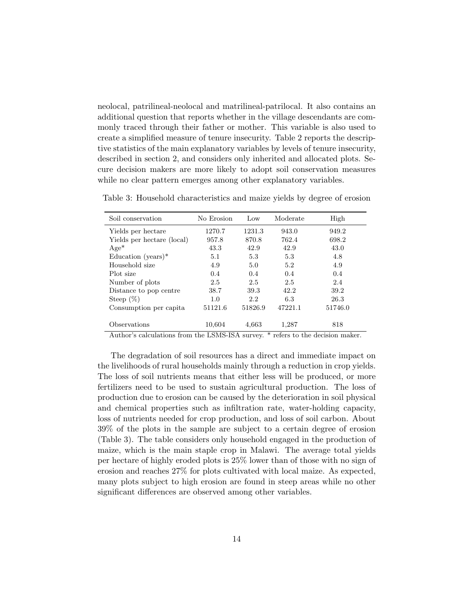neolocal, patrilineal-neolocal and matrilineal-patrilocal. It also contains an additional question that reports whether in the village descendants are commonly traced through their father or mother. This variable is also used to create a simplified measure of tenure insecurity. Table 2 reports the descriptive statistics of the main explanatory variables by levels of tenure insecurity, described in section 2, and considers only inherited and allocated plots. Secure decision makers are more likely to adopt soil conservation measures while no clear pattern emerges among other explanatory variables.

| Soil conservation          | No Erosion | Low     | Moderate | High    |
|----------------------------|------------|---------|----------|---------|
| Yields per hectare         | 1270.7     | 1231.3  | 943.0    | 949.2   |
| Yields per hectare (local) | 957.8      | 870.8   | 762.4    | 698.2   |
| $Age*$                     | 43.3       | 42.9    | 42.9     | 43.0    |
| Education (years) $*$      | 5.1        | 5.3     | 5.3      | 4.8     |
| Household size             | 4.9        | 5.0     | 5.2      | 4.9     |
| Plot size                  | 0.4        | 0.4     | 0.4      | 0.4     |
| Number of plots            | 2.5        | 2.5     | 2.5      | 2.4     |
| Distance to pop centre     | 38.7       | 39.3    | 42.2     | 39.2    |
| Steep $(\%)$               | 1.0        | 2.2     | 6.3      | 26.3    |
| Consumption per capita     | 51121.6    | 51826.9 | 47221.1  | 51746.0 |
| Observations               | 10.604     | 4.663   | 1,287    | 818     |

Table 3: Household characteristics and maize yields by degree of erosion

Author's calculations from the LSMS-ISA survey. \* refers to the decision maker.

The degradation of soil resources has a direct and immediate impact on the livelihoods of rural households mainly through a reduction in crop yields. The loss of soil nutrients means that either less will be produced, or more fertilizers need to be used to sustain agricultural production. The loss of production due to erosion can be caused by the deterioration in soil physical and chemical properties such as infiltration rate, water-holding capacity, loss of nutrients needed for crop production, and loss of soil carbon. About 39% of the plots in the sample are subject to a certain degree of erosion (Table 3). The table considers only household engaged in the production of maize, which is the main staple crop in Malawi. The average total yields per hectare of highly eroded plots is 25% lower than of those with no sign of erosion and reaches 27% for plots cultivated with local maize. As expected, many plots subject to high erosion are found in steep areas while no other significant differences are observed among other variables.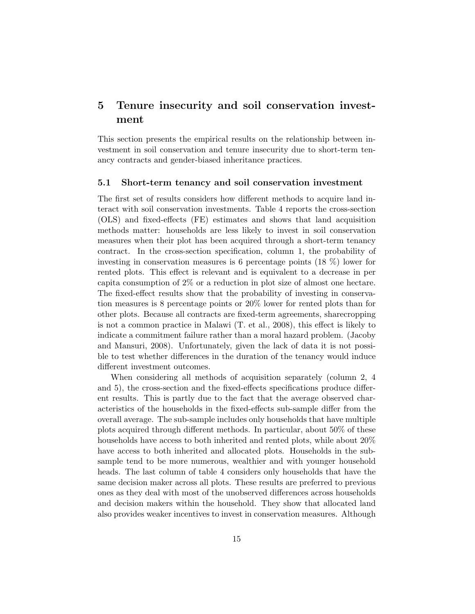## 5 Tenure insecurity and soil conservation investment

This section presents the empirical results on the relationship between investment in soil conservation and tenure insecurity due to short-term tenancy contracts and gender-biased inheritance practices.

#### 5.1 Short-term tenancy and soil conservation investment

The first set of results considers how different methods to acquire land interact with soil conservation investments. Table 4 reports the cross-section (OLS) and fixed-effects (FE) estimates and shows that land acquisition methods matter: households are less likely to invest in soil conservation measures when their plot has been acquired through a short-term tenancy contract. In the cross-section specification, column 1, the probability of investing in conservation measures is 6 percentage points  $(18\%)$  lower for rented plots. This effect is relevant and is equivalent to a decrease in per capita consumption of 2% or a reduction in plot size of almost one hectare. The fixed-effect results show that the probability of investing in conservation measures is 8 percentage points or 20% lower for rented plots than for other plots. Because all contracts are fixed-term agreements, sharecropping is not a common practice in Malawi (T. et al., 2008), this effect is likely to indicate a commitment failure rather than a moral hazard problem. (Jacoby and Mansuri, 2008). Unfortunately, given the lack of data it is not possible to test whether differences in the duration of the tenancy would induce different investment outcomes.

When considering all methods of acquisition separately (column 2, 4 and 5), the cross-section and the fixed-effects specifications produce different results. This is partly due to the fact that the average observed characteristics of the households in the fixed-effects sub-sample differ from the overall average. The sub-sample includes only households that have multiple plots acquired through different methods. In particular, about 50% of these households have access to both inherited and rented plots, while about 20% have access to both inherited and allocated plots. Households in the subsample tend to be more numerous, wealthier and with younger household heads. The last column of table 4 considers only households that have the same decision maker across all plots. These results are preferred to previous ones as they deal with most of the unobserved differences across households and decision makers within the household. They show that allocated land also provides weaker incentives to invest in conservation measures. Although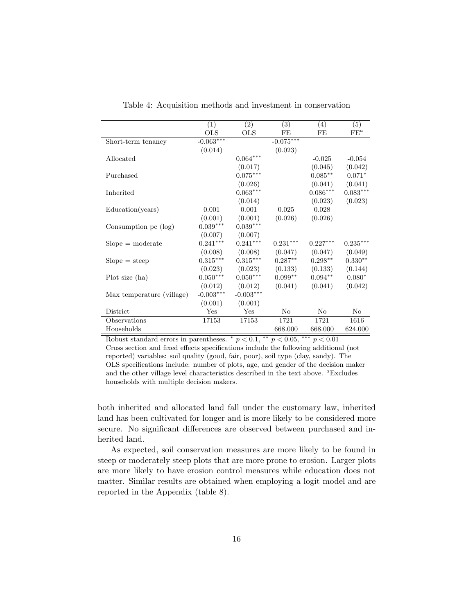|                           | (1)          | (2)                    | $\overline{(3)}$ | (4)                | (5)        |
|---------------------------|--------------|------------------------|------------------|--------------------|------------|
|                           | $_{\rm OLS}$ | <b>OLS</b>             | FE               | FE                 | $FE^a$     |
| Short-term tenancy        | $-0.063***$  |                        | $-0.075***$      |                    |            |
|                           | (0.014)      |                        | (0.023)          |                    |            |
| Allocated                 |              | $0.064^{\ast\ast\ast}$ |                  | $-0.025$           | $-0.054$   |
|                           |              | (0.017)                |                  | (0.045)            | (0.042)    |
| Purchased                 |              | $0.075***$             |                  | $0.085***$         | $0.071*$   |
|                           |              | (0.026)                |                  | (0.041)            | (0.041)    |
| Inherited                 |              | $0.063***$             |                  | $0.086***$         | $0.083***$ |
|                           |              | (0.014)                |                  | (0.023)            | (0.023)    |
| Education(years)          | 0.001        | 0.001                  | 0.025            | 0.028              |            |
|                           | (0.001)      | (0.001)                | (0.026)          | (0.026)            |            |
| Consumption pc (log)      | $0.039***$   | $0.039***$             |                  |                    |            |
|                           | (0.007)      | (0.007)                |                  |                    |            |
| $Slope = moderate$        | $0.241***$   | $0.241***$             | $0.231***$       | $0.227***$         | $0.235***$ |
|                           | (0.008)      | (0.008)                | (0.047)          | (0.047)            | (0.049)    |
| $Slope = steep$           | $0.315***$   | $0.315***$             | $0.287**$        | $0.298^{\ast\ast}$ | $0.330**$  |
|                           | (0.023)      | (0.023)                | (0.133)          | (0.133)            | (0.144)    |
| Plot size (ha)            | $0.050***$   | $0.050***$             | $0.099**$        | $0.094**$          | $0.080*$   |
|                           | (0.012)      | (0.012)                | (0.041)          | (0.041)            | (0.042)    |
| Max temperature (village) | $-0.003***$  | $-0.003***$            |                  |                    |            |
|                           | (0.001)      | (0.001)                |                  |                    |            |
| District                  | Yes          | Yes                    | No               | No                 | $\rm No$   |
| Observations              | 17153        | 17153                  | 1721             | 1721               | 1616       |
| Households                |              |                        | 668.000          | 668.000            | 624.000    |

Table 4: Acquisition methods and investment in conservation

Robust standard errors in parentheses.  $\degree p < 0.1$ ,  $\degree \degree p < 0.05$ ,  $\degree \degree \degree p < 0.01$ Cross section and fixed effects specifications include the following additional (not reported) variables: soil quality (good, fair, poor), soil type (clay, sandy). The OLS specifications include: number of plots, age, and gender of the decision maker and the other village level characteristics described in the text above. <sup>a</sup>Excludes households with multiple decision makers.

both inherited and allocated land fall under the customary law, inherited land has been cultivated for longer and is more likely to be considered more secure. No significant differences are observed between purchased and inherited land.

As expected, soil conservation measures are more likely to be found in steep or moderately steep plots that are more prone to erosion. Larger plots are more likely to have erosion control measures while education does not matter. Similar results are obtained when employing a logit model and are reported in the Appendix (table 8).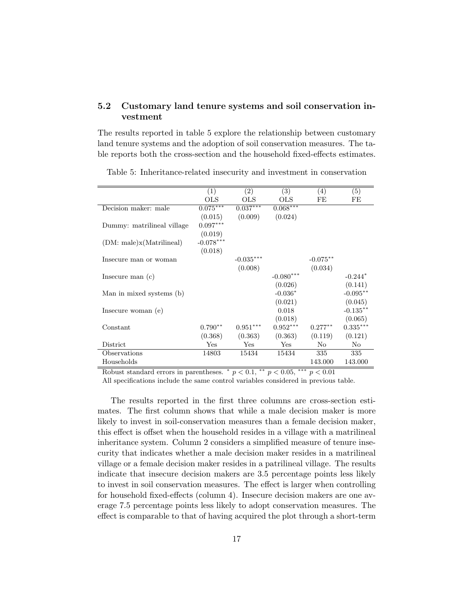#### 5.2 Customary land tenure systems and soil conservation investment

The results reported in table 5 explore the relationship between customary land tenure systems and the adoption of soil conservation measures. The table reports both the cross-section and the household fixed-effects estimates.

|                            | (1)         | (2)         | (3)         | $\left( 4\right)$ | (5)         |
|----------------------------|-------------|-------------|-------------|-------------------|-------------|
|                            | OLS         | OLS         | OLS         | FE                | FE          |
| Decision maker: male       | $0.075***$  | $0.037***$  | $0.068***$  |                   |             |
|                            | (0.015)     | (0.009)     | (0.024)     |                   |             |
| Dummy: matrilineal village | $0.097***$  |             |             |                   |             |
|                            | (0.019)     |             |             |                   |             |
| (DM: male)x(Matrilineal)   | $-0.078***$ |             |             |                   |             |
|                            | (0.018)     |             |             |                   |             |
| Insecure man or woman      |             | $-0.035***$ |             | $-0.075**$        |             |
|                            |             | (0.008)     |             | (0.034)           |             |
| Insecure man $(c)$         |             |             | $-0.080***$ |                   | $-0.244*$   |
|                            |             |             | (0.026)     |                   | (0.141)     |
| Man in mixed systems (b)   |             |             | $-0.036*$   |                   | $-0.095**$  |
|                            |             |             | (0.021)     |                   | (0.045)     |
| Insecure woman (e)         |             |             | 0.018       |                   | $-0.135***$ |
|                            |             |             | (0.018)     |                   | (0.065)     |
| Constant                   | $0.790**$   | $0.951***$  | $0.952***$  | $0.277**$         | $0.335***$  |
|                            | (0.368)     | (0.363)     | (0.363)     | (0.119)           | (0.121)     |
| District                   | Yes         | Yes         | Yes         | No                | No          |
| Observations               | 14803       | 15434       | 15434       | 335               | 335         |
| Households                 |             |             |             | 143.000           | 143.000     |

Table 5: Inheritance-related insecurity and investment in conservation

Robust standard errors in parentheses.  $p < 0.1$ ,  $\rightarrow p < 0.05$ ,  $\rightarrow p < 0.01$ 

All specifications include the same control variables considered in previous table.

The results reported in the first three columns are cross-section estimates. The first column shows that while a male decision maker is more likely to invest in soil-conservation measures than a female decision maker, this effect is offset when the household resides in a village with a matrilineal inheritance system. Column 2 considers a simplified measure of tenure insecurity that indicates whether a male decision maker resides in a matrilineal village or a female decision maker resides in a patrilineal village. The results indicate that insecure decision makers are 3.5 percentage points less likely to invest in soil conservation measures. The effect is larger when controlling for household fixed-effects (column 4). Insecure decision makers are one average 7.5 percentage points less likely to adopt conservation measures. The effect is comparable to that of having acquired the plot through a short-term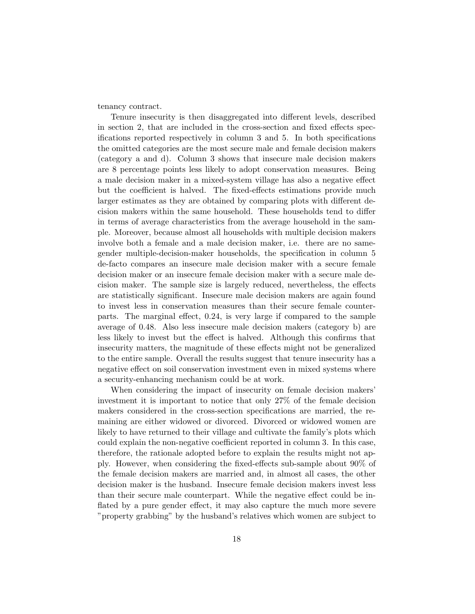tenancy contract.

Tenure insecurity is then disaggregated into different levels, described in section 2, that are included in the cross-section and fixed effects specifications reported respectively in column 3 and 5. In both specifications the omitted categories are the most secure male and female decision makers (category a and d). Column 3 shows that insecure male decision makers are 8 percentage points less likely to adopt conservation measures. Being a male decision maker in a mixed-system village has also a negative effect but the coefficient is halved. The fixed-effects estimations provide much larger estimates as they are obtained by comparing plots with different decision makers within the same household. These households tend to differ in terms of average characteristics from the average household in the sample. Moreover, because almost all households with multiple decision makers involve both a female and a male decision maker, i.e. there are no samegender multiple-decision-maker households, the specification in column 5 de-facto compares an insecure male decision maker with a secure female decision maker or an insecure female decision maker with a secure male decision maker. The sample size is largely reduced, nevertheless, the effects are statistically significant. Insecure male decision makers are again found to invest less in conservation measures than their secure female counterparts. The marginal effect, 0.24, is very large if compared to the sample average of 0.48. Also less insecure male decision makers (category b) are less likely to invest but the effect is halved. Although this confirms that insecurity matters, the magnitude of these effects might not be generalized to the entire sample. Overall the results suggest that tenure insecurity has a negative effect on soil conservation investment even in mixed systems where a security-enhancing mechanism could be at work.

When considering the impact of insecurity on female decision makers' investment it is important to notice that only 27% of the female decision makers considered in the cross-section specifications are married, the remaining are either widowed or divorced. Divorced or widowed women are likely to have returned to their village and cultivate the family's plots which could explain the non-negative coefficient reported in column 3. In this case, therefore, the rationale adopted before to explain the results might not apply. However, when considering the fixed-effects sub-sample about 90% of the female decision makers are married and, in almost all cases, the other decision maker is the husband. Insecure female decision makers invest less than their secure male counterpart. While the negative effect could be inflated by a pure gender effect, it may also capture the much more severe "property grabbing" by the husband's relatives which women are subject to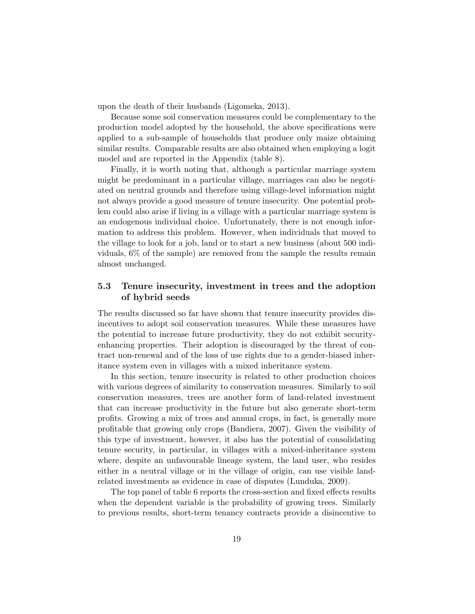upon the death of their husbands (Ligomeka, 2013).

Because some soil conservation measures could be complementary to the production model adopted by the household, the above specifications were applied to a sub-sample of households that produce only maize obtaining similar results. Comparable results are also obtained when employing a logit model and are reported in the Appendix (table 8).

Finally, it is worth noting that, although a particular marriage system might be predominant in a particular village, marriages can also be negotiated on neutral grounds and therefore using village-level information might not always provide a good measure of tenure insecurity. One potential problem could also arise if living in a village with a particular marriage system is an endogenous individual choice. Unfortunately, there is not enough information to address this problem. However, when individuals that moved to the village to look for a job, land or to start a new business (about 500 individuals, 6% of the sample) are removed from the sample the results remain almost unchanged.

#### 5.3 Tenure insecurity, investment in trees and the adoption of hybrid seeds

The results discussed so far have shown that tenure insecurity provides disincentives to adopt soil conservation measures. While these measures have the potential to increase future productivity, they do not exhibit securityenhancing properties. Their adoption is discouraged by the threat of contract non-renewal and of the loss of use rights due to a gender-biased inheritance system even in villages with a mixed inheritance system.

In this section, tenure insecurity is related to other production choices with various degrees of similarity to conservation measures. Similarly to soil conservation measures, trees are another form of land-related investment that can increase productivity in the future but also generate short-term profits. Growing a mix of trees and annual crops, in fact, is generally more profitable that growing only crops (Bandiera, 2007). Given the visibility of this type of investment, however, it also has the potential of consolidating tenure security, in particular, in villages with a mixed-inheritance system where, despite an unfavourable lineage system, the land user, who resides either in a neutral village or in the village of origin, can use visible landrelated investments as evidence in case of disputes (Lunduka, 2009).

The top panel of table 6 reports the cross-section and fixed effects results when the dependent variable is the probability of growing trees. Similarly to previous results, short-term tenancy contracts provide a disincentive to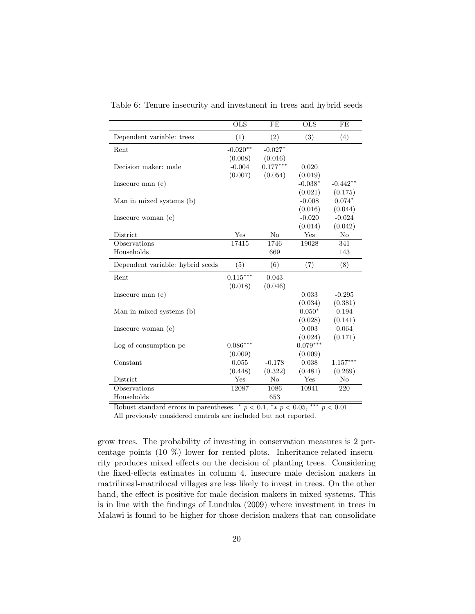|                                  | <b>OLS</b> | FE             | <b>OLS</b> | FE             |
|----------------------------------|------------|----------------|------------|----------------|
| Dependent variable: trees        | (1)        | (2)            | (3)        | (4)            |
| Rent                             | $-0.020**$ | $-0.027*$      |            |                |
|                                  | (0.008)    | (0.016)        |            |                |
| Decision maker: male             | $-0.004$   | $0.177***$     | 0.020      |                |
|                                  | (0.007)    | (0.054)        | (0.019)    |                |
| Insecure man $(c)$               |            |                | $-0.038*$  | $-0.442**$     |
|                                  |            |                | (0.021)    | (0.175)        |
| Man in mixed systems (b)         |            |                | $-0.008$   | $0.074*$       |
|                                  |            |                | (0.016)    | (0.044)        |
| Insecure woman (e)               |            |                | $-0.020$   | $-0.024$       |
|                                  |            |                | (0.014)    | (0.042)        |
| District                         | Yes        | N <sub>o</sub> | Yes        | N <sub>o</sub> |
| Observations                     | 17415      | 1746           | 19028      | 341            |
| Households                       |            | 669            |            | 143            |
| Dependent variable: hybrid seeds | (5)        | (6)            | (7)        | (8)            |
| Rent                             | $0.115***$ | 0.043          |            |                |
|                                  | (0.018)    | (0.046)        |            |                |
| Insecure man $(c)$               |            |                | 0.033      | $-0.295$       |
|                                  |            |                | (0.034)    | (0.381)        |
| Man in mixed systems (b)         |            |                | $0.050*$   | 0.194          |
|                                  |            |                | (0.028)    | (0.141)        |
| Insecure woman $(e)$             |            |                | 0.003      | 0.064          |
|                                  |            |                | (0.024)    | (0.171)        |
| Log of consumption pc            | $0.086***$ |                | $0.079***$ |                |
|                                  | (0.009)    |                | (0.009)    |                |
| Constant                         | 0.055      | $-0.178$       | 0.038      | $1.157***$     |
|                                  | (0.448)    | (0.322)        | (0.481)    | (0.269)        |
| District                         | Yes        | No             | Yes        | No             |
| Observations                     | 12087      | 1086           | 10941      | 220            |
| Households                       |            | 653            |            |                |

Table 6: Tenure insecurity and investment in trees and hybrid seeds

Robust standard errors in parentheses.  $\binom{*}{p} < 0.1, \binom{*}{p} < 0.05, \binom{*}{p} < 0.01$ All previously considered controls are included but not reported.

grow trees. The probability of investing in conservation measures is 2 percentage points (10 %) lower for rented plots. Inheritance-related insecurity produces mixed effects on the decision of planting trees. Considering the fixed-effects estimates in column 4, insecure male decision makers in matrilineal-matrilocal villages are less likely to invest in trees. On the other hand, the effect is positive for male decision makers in mixed systems. This is in line with the findings of Lunduka (2009) where investment in trees in Malawi is found to be higher for those decision makers that can consolidate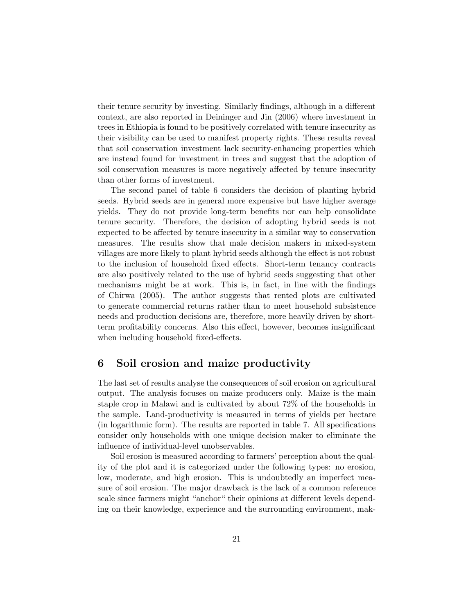their tenure security by investing. Similarly findings, although in a different context, are also reported in Deininger and Jin (2006) where investment in trees in Ethiopia is found to be positively correlated with tenure insecurity as their visibility can be used to manifest property rights. These results reveal that soil conservation investment lack security-enhancing properties which are instead found for investment in trees and suggest that the adoption of soil conservation measures is more negatively affected by tenure insecurity than other forms of investment.

The second panel of table 6 considers the decision of planting hybrid seeds. Hybrid seeds are in general more expensive but have higher average yields. They do not provide long-term benefits nor can help consolidate tenure security. Therefore, the decision of adopting hybrid seeds is not expected to be affected by tenure insecurity in a similar way to conservation measures. The results show that male decision makers in mixed-system villages are more likely to plant hybrid seeds although the effect is not robust to the inclusion of household fixed effects. Short-term tenancy contracts are also positively related to the use of hybrid seeds suggesting that other mechanisms might be at work. This is, in fact, in line with the findings of Chirwa (2005). The author suggests that rented plots are cultivated to generate commercial returns rather than to meet household subsistence needs and production decisions are, therefore, more heavily driven by shortterm profitability concerns. Also this effect, however, becomes insignificant when including household fixed-effects.

#### 6 Soil erosion and maize productivity

The last set of results analyse the consequences of soil erosion on agricultural output. The analysis focuses on maize producers only. Maize is the main staple crop in Malawi and is cultivated by about 72% of the households in the sample. Land-productivity is measured in terms of yields per hectare (in logarithmic form). The results are reported in table 7. All specifications consider only households with one unique decision maker to eliminate the influence of individual-level unobservables.

Soil erosion is measured according to farmers' perception about the quality of the plot and it is categorized under the following types: no erosion, low, moderate, and high erosion. This is undoubtedly an imperfect measure of soil erosion. The major drawback is the lack of a common reference scale since farmers might "anchor" their opinions at different levels depending on their knowledge, experience and the surrounding environment, mak-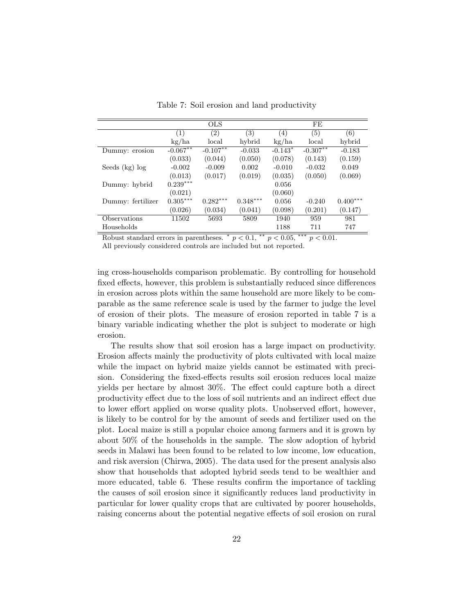|                   |            | <b>OLS</b>  |            |           | FE         |            |
|-------------------|------------|-------------|------------|-----------|------------|------------|
|                   | (1)        | (2)         | (3)        | (4)       | (5)        | (6)        |
|                   | kg/ha      | local       | hybrid     | kg/ha     | local      | hybrid     |
| Dummy: erosion    | $-0.067**$ | $-0.107***$ | $-0.033$   | $-0.143*$ | $-0.307**$ | $-0.183$   |
|                   | (0.033)    | (0.044)     | (0.050)    | (0.078)   | (0.143)    | (0.159)    |
| Seeds $(kg)$ log  | $-0.002$   | $-0.009$    | 0.002      | $-0.010$  | $-0.032$   | 0.049      |
|                   | (0.013)    | (0.017)     | (0.019)    | (0.035)   | (0.050)    | (0.069)    |
| Dummy: hybrid     | $0.239***$ |             |            | 0.056     |            |            |
|                   | (0.021)    |             |            | (0.060)   |            |            |
| Dummy: fertilizer | $0.305***$ | $0.282***$  | $0.348***$ | 0.056     | $-0.240$   | $0.400***$ |
|                   | (0.026)    | (0.034)     | (0.041)    | (0.098)   | (0.201)    | (0.147)    |
| Observations      | 11502      | 5693        | 5809       | 1940      | 959        | 981        |
| Households        |            |             |            | 1188      | 711        | 747        |
|                   |            |             |            |           |            |            |

Table 7: Soil erosion and land productivity

Robust standard errors in parentheses.  $p < 0.1$ ,  $\alpha^{*p} > 0.05$ ,  $\alpha^{**p} > 0.01$ .

All previously considered controls are included but not reported.

ing cross-households comparison problematic. By controlling for household fixed effects, however, this problem is substantially reduced since differences in erosion across plots within the same household are more likely to be comparable as the same reference scale is used by the farmer to judge the level of erosion of their plots. The measure of erosion reported in table 7 is a binary variable indicating whether the plot is subject to moderate or high erosion.

The results show that soil erosion has a large impact on productivity. Erosion affects mainly the productivity of plots cultivated with local maize while the impact on hybrid maize yields cannot be estimated with precision. Considering the fixed-effects results soil erosion reduces local maize yields per hectare by almost 30%. The effect could capture both a direct productivity effect due to the loss of soil nutrients and an indirect effect due to lower effort applied on worse quality plots. Unobserved effort, however, is likely to be control for by the amount of seeds and fertilizer used on the plot. Local maize is still a popular choice among farmers and it is grown by about 50% of the households in the sample. The slow adoption of hybrid seeds in Malawi has been found to be related to low income, low education, and risk aversion (Chirwa, 2005). The data used for the present analysis also show that households that adopted hybrid seeds tend to be wealthier and more educated, table 6. These results confirm the importance of tackling the causes of soil erosion since it significantly reduces land productivity in particular for lower quality crops that are cultivated by poorer households, raising concerns about the potential negative effects of soil erosion on rural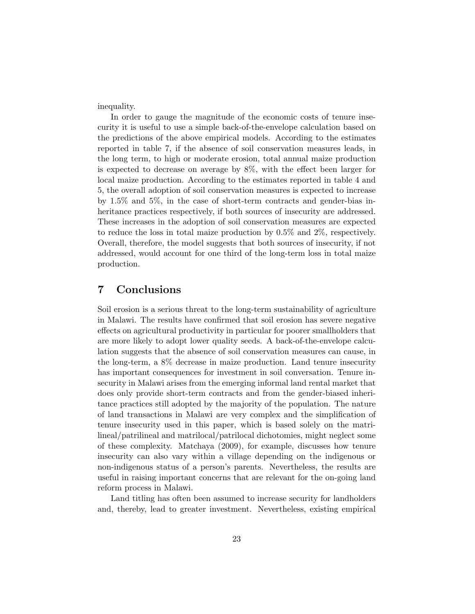inequality.

In order to gauge the magnitude of the economic costs of tenure insecurity it is useful to use a simple back-of-the-envelope calculation based on the predictions of the above empirical models. According to the estimates reported in table 7, if the absence of soil conservation measures leads, in the long term, to high or moderate erosion, total annual maize production is expected to decrease on average by 8%, with the effect been larger for local maize production. According to the estimates reported in table 4 and 5, the overall adoption of soil conservation measures is expected to increase by 1.5% and 5%, in the case of short-term contracts and gender-bias inheritance practices respectively, if both sources of insecurity are addressed. These increases in the adoption of soil conservation measures are expected to reduce the loss in total maize production by 0.5% and 2%, respectively. Overall, therefore, the model suggests that both sources of insecurity, if not addressed, would account for one third of the long-term loss in total maize production.

### 7 Conclusions

Soil erosion is a serious threat to the long-term sustainability of agriculture in Malawi. The results have confirmed that soil erosion has severe negative effects on agricultural productivity in particular for poorer smallholders that are more likely to adopt lower quality seeds. A back-of-the-envelope calculation suggests that the absence of soil conservation measures can cause, in the long-term, a 8% decrease in maize production. Land tenure insecurity has important consequences for investment in soil conversation. Tenure insecurity in Malawi arises from the emerging informal land rental market that does only provide short-term contracts and from the gender-biased inheritance practices still adopted by the majority of the population. The nature of land transactions in Malawi are very complex and the simplification of tenure insecurity used in this paper, which is based solely on the matrilineal/patrilineal and matrilocal/patrilocal dichotomies, might neglect some of these complexity. Matchaya (2009), for example, discusses how tenure insecurity can also vary within a village depending on the indigenous or non-indigenous status of a person's parents. Nevertheless, the results are useful in raising important concerns that are relevant for the on-going land reform process in Malawi.

Land titling has often been assumed to increase security for landholders and, thereby, lead to greater investment. Nevertheless, existing empirical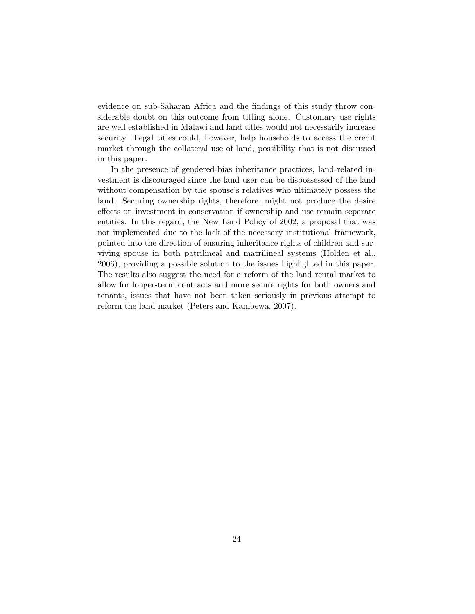evidence on sub-Saharan Africa and the findings of this study throw considerable doubt on this outcome from titling alone. Customary use rights are well established in Malawi and land titles would not necessarily increase security. Legal titles could, however, help households to access the credit market through the collateral use of land, possibility that is not discussed in this paper.

In the presence of gendered-bias inheritance practices, land-related investment is discouraged since the land user can be dispossessed of the land without compensation by the spouse's relatives who ultimately possess the land. Securing ownership rights, therefore, might not produce the desire effects on investment in conservation if ownership and use remain separate entities. In this regard, the New Land Policy of 2002, a proposal that was not implemented due to the lack of the necessary institutional framework, pointed into the direction of ensuring inheritance rights of children and surviving spouse in both patrilineal and matrilineal systems (Holden et al., 2006), providing a possible solution to the issues highlighted in this paper. The results also suggest the need for a reform of the land rental market to allow for longer-term contracts and more secure rights for both owners and tenants, issues that have not been taken seriously in previous attempt to reform the land market (Peters and Kambewa, 2007).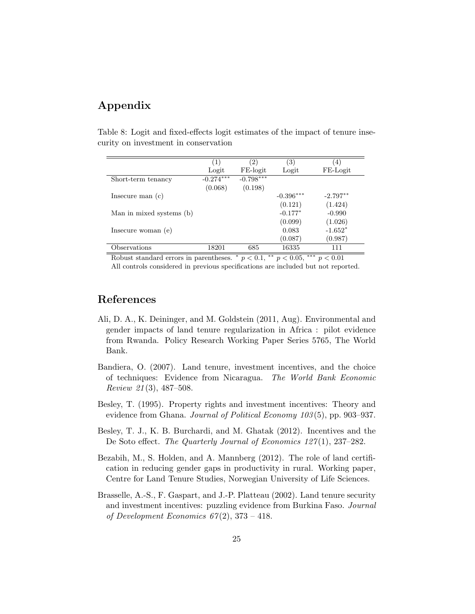## Appendix

|  |  |                                      | Table 8: Logit and fixed-effects logit estimates of the impact of tenure inse- |  |  |  |
|--|--|--------------------------------------|--------------------------------------------------------------------------------|--|--|--|
|  |  | curity on investment in conservation |                                                                                |  |  |  |

|                                                                                                                 | (1)         | (2)                       | $\left( 3\right)$ | (4)                  |  |
|-----------------------------------------------------------------------------------------------------------------|-------------|---------------------------|-------------------|----------------------|--|
|                                                                                                                 | Logit       | FE-logit                  | Logit             | FE-Logit             |  |
| Short-term tenancy                                                                                              | $-0.274***$ | $-0.798***$               |                   |                      |  |
|                                                                                                                 | (0.068)     | (0.198)                   |                   |                      |  |
| Insecure man $(c)$                                                                                              |             |                           | $-0.396***$       | $-2.797**$           |  |
|                                                                                                                 |             |                           | (0.121)           | (1.424)              |  |
| Man in mixed systems (b)                                                                                        |             |                           | $-0.177*$         | $-0.990$             |  |
|                                                                                                                 |             |                           | (0.099)           | (1.026)              |  |
| Insecure woman (e)                                                                                              |             |                           | 0.083             | $-1.652*$            |  |
|                                                                                                                 |             |                           | (0.087)           | (0.987)              |  |
| Observations                                                                                                    | 18201       | 685                       | 16335             | 111                  |  |
| the contract of the contract of the contract of the contract of the contract of the contract of the contract of | . .         | $\overline{a}$<br>مله مله | مله مله مله       | $\sim$ $\sim$ $\sim$ |  |

Robust standard errors in parentheses.  $p < 0.1$ ,  $\alpha + p < 0.05$ ,  $\alpha + p < 0.01$ All controls considered in previous specifications are included but not reported.

## References

- Ali, D. A., K. Deininger, and M. Goldstein (2011, Aug). Environmental and gender impacts of land tenure regularization in Africa : pilot evidence from Rwanda. Policy Research Working Paper Series 5765, The World Bank.
- Bandiera, O. (2007). Land tenure, investment incentives, and the choice of techniques: Evidence from Nicaragua. The World Bank Economic Review 21 (3), 487–508.
- Besley, T. (1995). Property rights and investment incentives: Theory and evidence from Ghana. Journal of Political Economy 103(5), pp. 903–937.
- Besley, T. J., K. B. Burchardi, and M. Ghatak (2012). Incentives and the De Soto effect. The Quarterly Journal of Economics 127(1), 237–282.
- Bezabih, M., S. Holden, and A. Mannberg (2012). The role of land certification in reducing gender gaps in productivity in rural. Working paper, Centre for Land Tenure Studies, Norwegian University of Life Sciences.
- Brasselle, A.-S., F. Gaspart, and J.-P. Platteau (2002). Land tenure security and investment incentives: puzzling evidence from Burkina Faso. Journal of Development Economics  $67(2)$ ,  $373 - 418$ .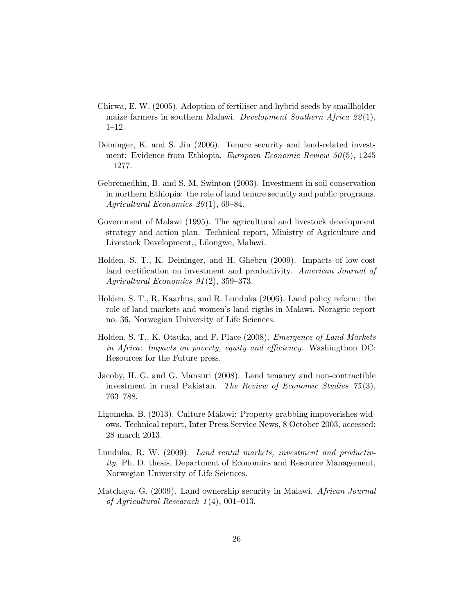- Chirwa, E. W. (2005). Adoption of fertiliser and hybrid seeds by smallholder maize farmers in southern Malawi. Development Southern Africa 22 (1), 1–12.
- Deininger, K. and S. Jin (2006). Tenure security and land-related investment: Evidence from Ethiopia. *European Economic Review*  $50(5)$ , 1245  $-1277.$
- Gebremedhin, B. and S. M. Swinton (2003). Investment in soil conservation in northern Ethiopia: the role of land tenure security and public programs. Agricultural Economics  $29(1)$ , 69–84.
- Government of Malawi (1995). The agricultural and livestock development strategy and action plan. Technical report, Ministry of Agriculture and Livestock Development,, Lilongwe, Malawi.
- Holden, S. T., K. Deininger, and H. Ghebru (2009). Impacts of low-cost land certification on investment and productivity. American Journal of Agricultural Economics 91 (2), 359–373.
- Holden, S. T., R. Kaarhus, and R. Lunduka (2006). Land policy reform: the role of land markets and women's land rigths in Malawi. Noragric report no. 36, Norwegian University of Life Sciences.
- Holden, S. T., K. Otsuka, and F. Place (2008). Emergence of Land Markets in Africa: Impacts on poverty, equity and efficiency. Washingthon DC: Resources for the Future press.
- Jacoby, H. G. and G. Mansuri (2008). Land tenancy and non-contractible investment in rural Pakistan. The Review of Economic Studies  $75(3)$ , 763–788.
- Ligomeka, B. (2013). Culture Malawi: Property grabbing impoverishes widows. Technical report, Inter Press Service News, 8 October 2003, accessed: 28 march 2013.
- Lunduka, R. W. (2009). Land rental markets, investment and productivity. Ph. D. thesis, Department of Economics and Resource Management, Norwegian University of Life Sciences.
- Matchaya, G. (2009). Land ownership security in Malawi. African Journal of Agricultural Researach 1 (4), 001–013.